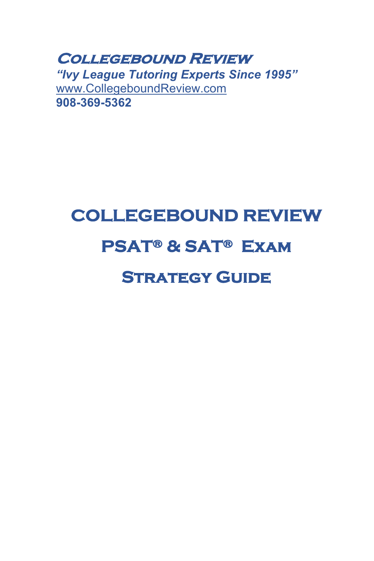**Collegebound Review**  *"Ivy League Tutoring Experts Since 1995"* www.CollegeboundReview.com **908-369-5362**

# **COLLEGEBOUND REVIEW PSAT® & SAT® Exam STRATEGY GUIDE**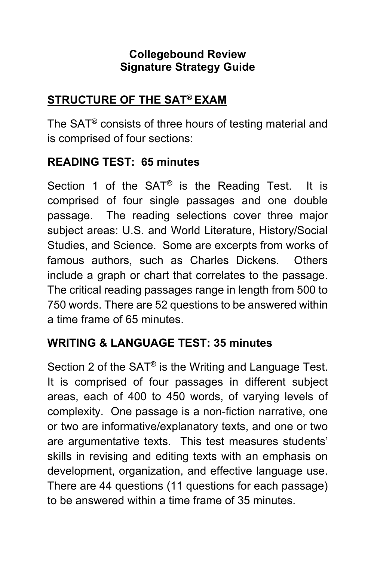## **Collegebound Review Signature Strategy Guide**

## **STRUCTURE OF THE SAT® EXAM**

The SAT® consists of three hours of testing material and is comprised of four sections:

## **READING TEST: 65 minutes**

Section 1 of the SAT<sup>®</sup> is the Reading Test. It is comprised of four single passages and one double passage. The reading selections cover three major subject areas: U.S. and World Literature, History/Social Studies, and Science. Some are excerpts from works of famous authors, such as Charles Dickens. Others include a graph or chart that correlates to the passage. The critical reading passages range in length from 500 to 750 words. There are 52 questions to be answered within a time frame of 65 minutes.

## **WRITING & LANGUAGE TEST: 35 minutes**

Section 2 of the SAT® is the Writing and Language Test. It is comprised of four passages in different subject areas, each of 400 to 450 words, of varying levels of complexity. One passage is a non-fiction narrative, one or two are informative/explanatory texts, and one or two are argumentative texts. This test measures students' skills in revising and editing texts with an emphasis on development, organization, and effective language use. There are 44 questions (11 questions for each passage) to be answered within a time frame of 35 minutes.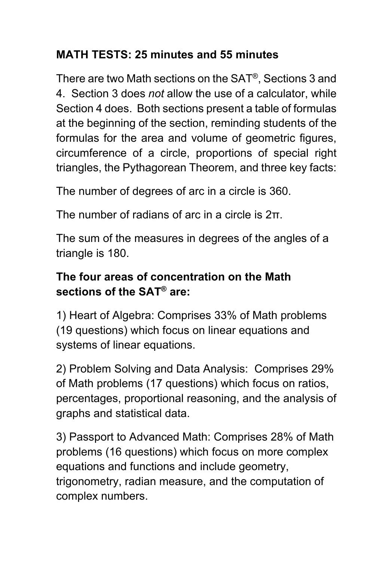# **MATH TESTS: 25 minutes and 55 minutes**

There are two Math sections on the SAT®, Sections 3 and 4. Section 3 does *not* allow the use of a calculator, while Section 4 does. Both sections present a table of formulas at the beginning of the section, reminding students of the formulas for the area and volume of geometric figures, circumference of a circle, proportions of special right triangles, the Pythagorean Theorem, and three key facts:

The number of degrees of arc in a circle is 360.

The number of radians of arc in a circle is 2π.

The sum of the measures in degrees of the angles of a triangle is 180.

## **The four areas of concentration on the Math sections of the SAT® are:**

1) Heart of Algebra: Comprises 33% of Math problems (19 questions) which focus on linear equations and systems of linear equations.

2) Problem Solving and Data Analysis: Comprises 29% of Math problems (17 questions) which focus on ratios, percentages, proportional reasoning, and the analysis of graphs and statistical data.

3) Passport to Advanced Math: Comprises 28% of Math problems (16 questions) which focus on more complex equations and functions and include geometry, trigonometry, radian measure, and the computation of complex numbers.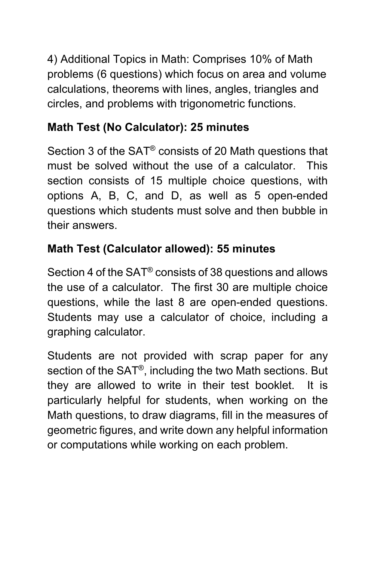4) Additional Topics in Math: Comprises 10% of Math problems (6 questions) which focus on area and volume calculations, theorems with lines, angles, triangles and circles, and problems with trigonometric functions.

# **Math Test (No Calculator): 25 minutes**

Section 3 of the SAT® consists of 20 Math questions that must be solved without the use of a calculator. This section consists of 15 multiple choice questions, with options A, B, C, and D, as well as 5 open-ended questions which students must solve and then bubble in their answers.

# **Math Test (Calculator allowed): 55 minutes**

Section 4 of the SAT® consists of 38 questions and allows the use of a calculator. The first 30 are multiple choice questions, while the last 8 are open-ended questions. Students may use a calculator of choice, including a graphing calculator.

Students are not provided with scrap paper for any section of the SAT®, including the two Math sections. But they are allowed to write in their test booklet. It is particularly helpful for students, when working on the Math questions, to draw diagrams, fill in the measures of geometric figures, and write down any helpful information or computations while working on each problem.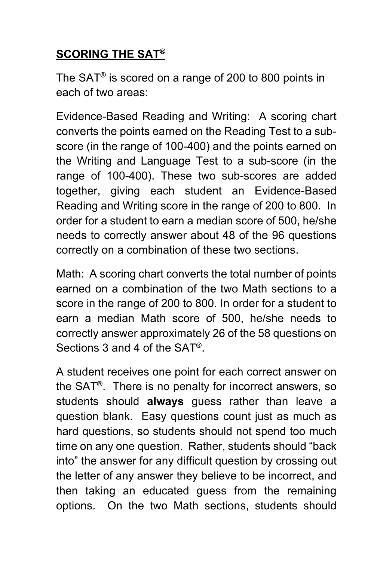# **SCORING THE SAT®**

The SAT® is scored on a range of 200 to 800 points in each of two areas:

Evidence-Based Reading and Writing: A scoring chart converts the points earned on the Reading Test to a subscore (in the range of 100-400) and the points earned on the Writing and Language Test to a sub-score (in the range of 100-400). These two sub-scores are added together, giving each student an Evidence-Based Reading and Writing score in the range of 200 to 800. In order for a student to earn a median score of 500, he/she needs to correctly answer about 48 of the 96 questions correctly on a combination of these two sections.

Math: A scoring chart converts the total number of points earned on a combination of the two Math sections to a score in the range of 200 to 800. In order for a student to earn a median Math score of 500, he/she needs to correctly answer approximately 26 of the 58 questions on Sections 3 and 4 of the SAT®.

A student receives one point for each correct answer on the SAT®. There is no penalty for incorrect answers, so students should **always** guess rather than leave a question blank. Easy questions count just as much as hard questions, so students should not spend too much time on any one question. Rather, students should "back into" the answer for any difficult question by crossing out the letter of any answer they believe to be incorrect, and then taking an educated guess from the remaining options. On the two Math sections, students should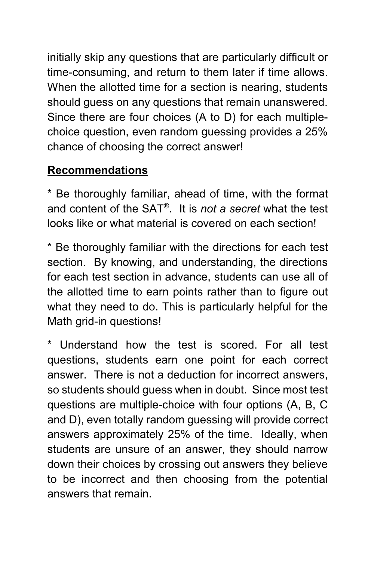initially skip any questions that are particularly difficult or time-consuming, and return to them later if time allows. When the allotted time for a section is nearing, students should guess on any questions that remain unanswered. Since there are four choices (A to D) for each multiplechoice question, even random guessing provides a 25% chance of choosing the correct answer!

# **Recommendations**

\* Be thoroughly familiar, ahead of time, with the format and content of the SAT®. It is *not a secret* what the test looks like or what material is covered on each section!

\* Be thoroughly familiar with the directions for each test section. By knowing, and understanding, the directions for each test section in advance, students can use all of the allotted time to earn points rather than to figure out what they need to do. This is particularly helpful for the Math grid-in questions!

Understand how the test is scored. For all test questions, students earn one point for each correct answer. There is not a deduction for incorrect answers, so students should guess when in doubt. Since most test questions are multiple-choice with four options (A, B, C and D), even totally random guessing will provide correct answers approximately 25% of the time. Ideally, when students are unsure of an answer, they should narrow down their choices by crossing out answers they believe to be incorrect and then choosing from the potential answers that remain.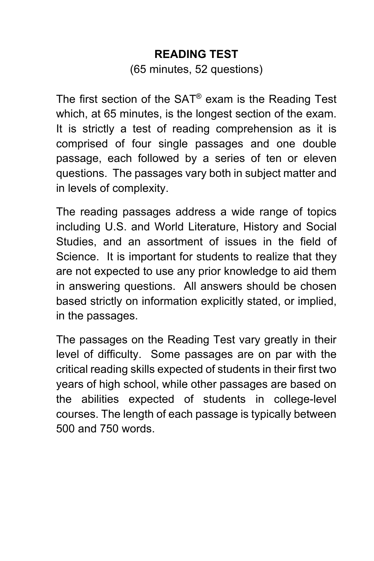# **READING TEST** (65 minutes, 52 questions)

The first section of the SAT® exam is the Reading Test which, at 65 minutes, is the longest section of the exam. It is strictly a test of reading comprehension as it is comprised of four single passages and one double passage, each followed by a series of ten or eleven questions. The passages vary both in subject matter and in levels of complexity.

The reading passages address a wide range of topics including U.S. and World Literature, History and Social Studies, and an assortment of issues in the field of Science. It is important for students to realize that they are not expected to use any prior knowledge to aid them in answering questions. All answers should be chosen based strictly on information explicitly stated, or implied, in the passages.

The passages on the Reading Test vary greatly in their level of difficulty. Some passages are on par with the critical reading skills expected of students in their first two years of high school, while other passages are based on the abilities expected of students in college-level courses. The length of each passage is typically between 500 and 750 words.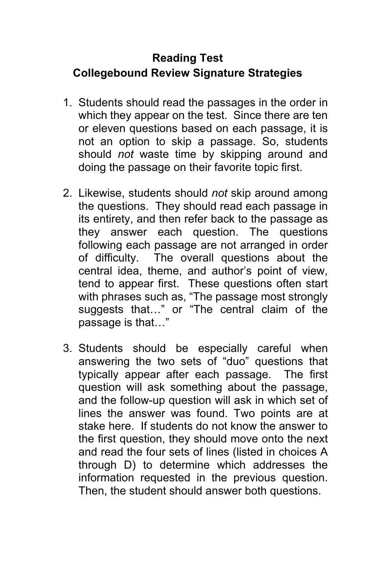# **Reading Test Collegebound Review Signature Strategies**

- 1. Students should read the passages in the order in which they appear on the test. Since there are ten or eleven questions based on each passage, it is not an option to skip a passage. So, students should *not* waste time by skipping around and doing the passage on their favorite topic first.
- 2. Likewise, students should *not* skip around among the questions. They should read each passage in its entirety, and then refer back to the passage as they answer each question. The questions following each passage are not arranged in order of difficulty. The overall questions about the central idea, theme, and author's point of view, tend to appear first. These questions often start with phrases such as, "The passage most strongly suggests that…" or "The central claim of the passage is that…"
- 3. Students should be especially careful when answering the two sets of "duo" questions that typically appear after each passage. The first question will ask something about the passage, and the follow-up question will ask in which set of lines the answer was found. Two points are at stake here. If students do not know the answer to the first question, they should move onto the next and read the four sets of lines (listed in choices A through D) to determine which addresses the information requested in the previous question. Then, the student should answer both questions.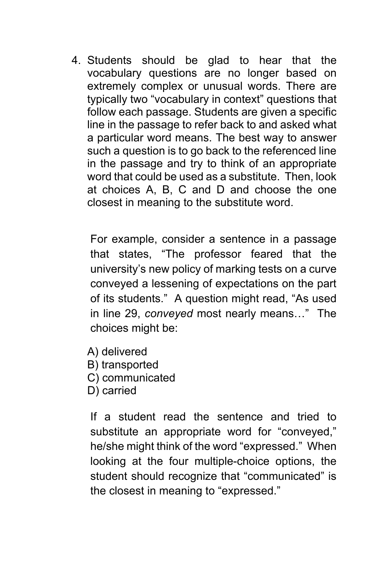4. Students should be glad to hear that the vocabulary questions are no longer based on extremely complex or unusual words. There are typically two "vocabulary in context" questions that follow each passage. Students are given a specific line in the passage to refer back to and asked what a particular word means. The best way to answer such a question is to go back to the referenced line in the passage and try to think of an appropriate word that could be used as a substitute. Then, look at choices A, B, C and D and choose the one closest in meaning to the substitute word.

For example, consider a sentence in a passage that states, "The professor feared that the university's new policy of marking tests on a curve conveyed a lessening of expectations on the part of its students." A question might read, "As used in line 29, *conveyed* most nearly means…" The choices might be:

- A) delivered
- B) transported
- C) communicated
- D) carried

If a student read the sentence and tried to substitute an appropriate word for "conveyed," he/she might think of the word "expressed." When looking at the four multiple-choice options, the student should recognize that "communicated" is the closest in meaning to "expressed."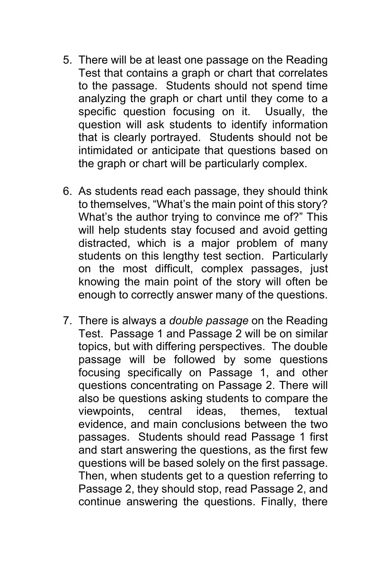- 5. There will be at least one passage on the Reading Test that contains a graph or chart that correlates to the passage. Students should not spend time analyzing the graph or chart until they come to a specific question focusing on it. Usually, the question will ask students to identify information that is clearly portrayed. Students should not be intimidated or anticipate that questions based on the graph or chart will be particularly complex.
- 6. As students read each passage, they should think to themselves, "What's the main point of this story? What's the author trying to convince me of?" This will help students stay focused and avoid getting distracted, which is a major problem of many students on this lengthy test section. Particularly on the most difficult, complex passages, just knowing the main point of the story will often be enough to correctly answer many of the questions.
- 7. There is always a *double passage* on the Reading Test. Passage 1 and Passage 2 will be on similar topics, but with differing perspectives. The double passage will be followed by some questions focusing specifically on Passage 1, and other questions concentrating on Passage 2. There will also be questions asking students to compare the viewpoints, central ideas, themes, textual evidence, and main conclusions between the two passages. Students should read Passage 1 first and start answering the questions, as the first few questions will be based solely on the first passage. Then, when students get to a question referring to Passage 2, they should stop, read Passage 2, and continue answering the questions. Finally, there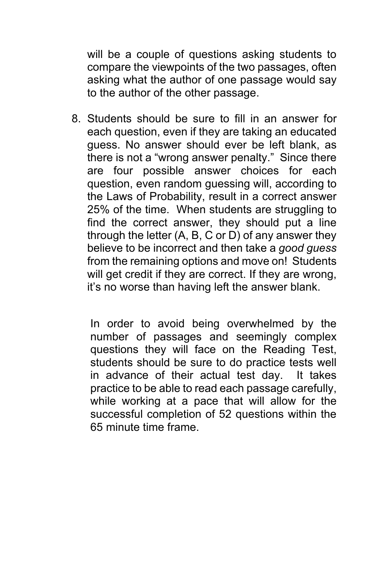will be a couple of questions asking students to compare the viewpoints of the two passages, often asking what the author of one passage would say to the author of the other passage.

8. Students should be sure to fill in an answer for each question, even if they are taking an educated guess. No answer should ever be left blank, as there is not a "wrong answer penalty." Since there are four possible answer choices for each question, even random guessing will, according to the Laws of Probability, result in a correct answer 25% of the time. When students are struggling to find the correct answer, they should put a line through the letter (A, B, C or D) of any answer they believe to be incorrect and then take a *good guess* from the remaining options and move on! Students will get credit if they are correct. If they are wrong, it's no worse than having left the answer blank.

In order to avoid being overwhelmed by the number of passages and seemingly complex questions they will face on the Reading Test, students should be sure to do practice tests well in advance of their actual test day. It takes practice to be able to read each passage carefully, while working at a pace that will allow for the successful completion of 52 questions within the 65 minute time frame.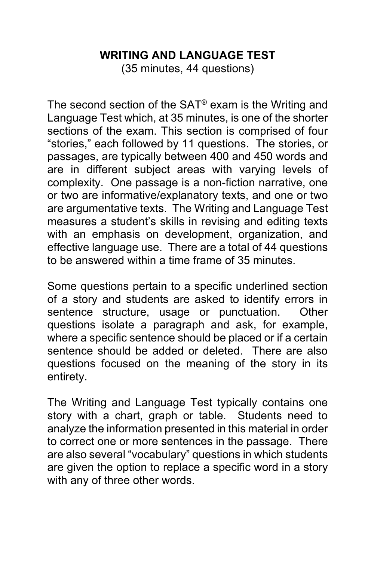## **WRITING AND LANGUAGE TEST**

(35 minutes, 44 questions)

The second section of the SAT® exam is the Writing and Language Test which, at 35 minutes, is one of the shorter sections of the exam. This section is comprised of four "stories," each followed by 11 questions. The stories, or passages, are typically between 400 and 450 words and are in different subject areas with varying levels of complexity. One passage is a non-fiction narrative, one or two are informative/explanatory texts, and one or two are argumentative texts. The Writing and Language Test measures a student's skills in revising and editing texts with an emphasis on development, organization, and effective language use. There are a total of 44 questions to be answered within a time frame of 35 minutes.

Some questions pertain to a specific underlined section of a story and students are asked to identify errors in sentence structure, usage or punctuation. Other questions isolate a paragraph and ask, for example, where a specific sentence should be placed or if a certain sentence should be added or deleted. There are also questions focused on the meaning of the story in its entirety.

The Writing and Language Test typically contains one story with a chart, graph or table. Students need to analyze the information presented in this material in order to correct one or more sentences in the passage. There are also several "vocabulary" questions in which students are given the option to replace a specific word in a story with any of three other words.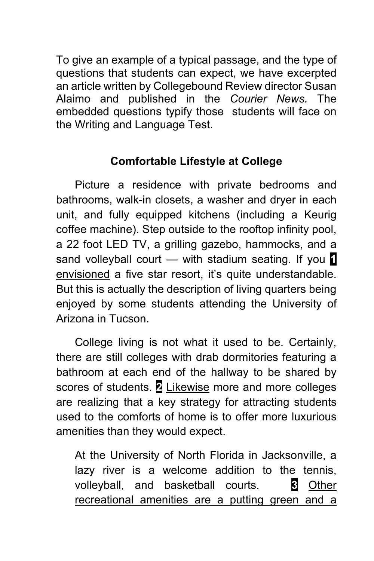To give an example of a typical passage, and the type of questions that students can expect, we have excerpted an article written by Collegebound Review director Susan Alaimo and published in the *Courier News.* The embedded questions typify those students will face on the Writing and Language Test.

## **Comfortable Lifestyle at College**

Picture a residence with private bedrooms and bathrooms, walk-in closets, a washer and dryer in each unit, and fully equipped kitchens (including a Keurig coffee machine). Step outside to the rooftop infinity pool, a 22 foot LED TV, a grilling gazebo, hammocks, and a sand volleyball court — with stadium seating. If you **1** envisioned a five star resort, it's quite understandable. But this is actually the description of living quarters being enjoyed by some students attending the University of Arizona in Tucson.

College living is not what it used to be. Certainly, there are still colleges with drab dormitories featuring a bathroom at each end of the hallway to be shared by scores of students. **2** Likewise more and more colleges are realizing that a key strategy for attracting students used to the comforts of home is to offer more luxurious amenities than they would expect.

At the University of North Florida in Jacksonville, a lazy river is a welcome addition to the tennis, volleyball, and basketball courts. **3** Other recreational amenities are a putting green and a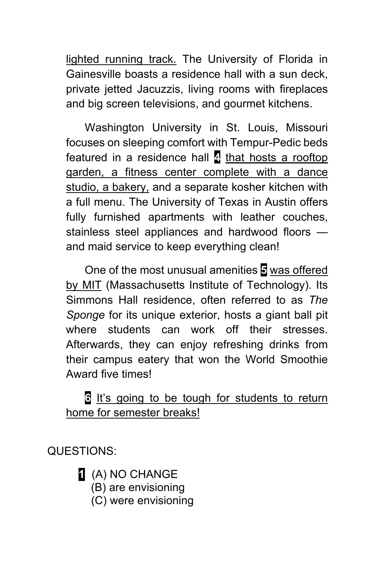lighted running track. The University of Florida in Gainesville boasts a residence hall with a sun deck, private jetted Jacuzzis, living rooms with fireplaces and big screen televisions, and gourmet kitchens.

Washington University in St. Louis, Missouri focuses on sleeping comfort with Tempur-Pedic beds featured in a residence hall **4** that hosts a rooftop garden, a fitness center complete with a dance studio, a bakery, and a separate kosher kitchen with a full menu. The University of Texas in Austin offers fully furnished apartments with leather couches, stainless steel appliances and hardwood floors and maid service to keep everything clean!

One of the most unusual amenities **5** was offered by MIT (Massachusetts Institute of Technology). Its Simmons Hall residence, often referred to as *The Sponge* for its unique exterior, hosts a giant ball pit where students can work off their stresses. Afterwards, they can enjoy refreshing drinks from their campus eatery that won the World Smoothie Award five times!

## **6** It's going to be tough for students to return home for semester breaks!

QUESTIONS:

**1** (A) NO CHANGE

- (B) are envisioning
- (C) were envisioning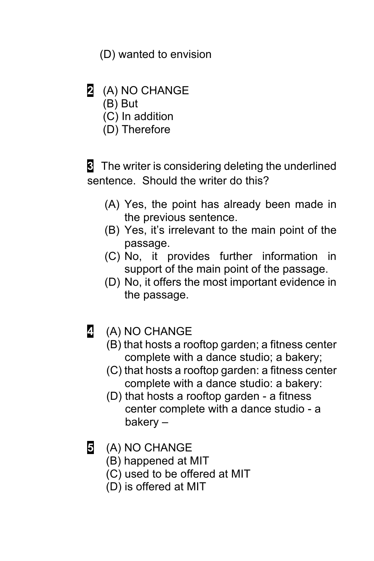(D) wanted to envision

- **2** (A) NO CHANGE
	- (B) But
	- (C) In addition
	- (D) Therefore

**3** The writer is considering deleting the underlined sentence. Should the writer do this?

- (A) Yes, the point has already been made in the previous sentence.
- (B) Yes, it's irrelevant to the main point of the passage.
- (C) No, it provides further information in support of the main point of the passage.
- (D) No, it offers the most important evidence in the passage.
- **4** (A) NO CHANGE
	- (B) that hosts a rooftop garden; a fitness center complete with a dance studio; a bakery;
	- (C) that hosts a rooftop garden: a fitness center complete with a dance studio: a bakery:
	- (D) that hosts a rooftop garden a fitness center complete with a dance studio - a bakery –
- **5** (A) NO CHANGE
	- (B) happened at MIT
	- (C) used to be offered at MIT
	- (D) is offered at MIT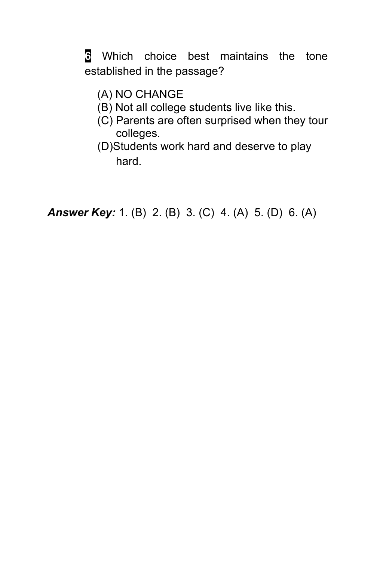**6** Which choice best maintains the tone established in the passage?

- (A) NO CHANGE
- (B) Not all college students live like this.
- (C) Parents are often surprised when they tour colleges.
- (D)Students work hard and deserve to play hard.

*Answer Key:* 1. (B) 2. (B) 3. (C) 4. (A) 5. (D) 6. (A)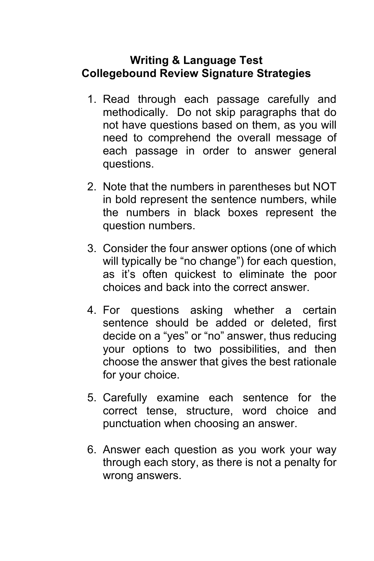#### **Writing & Language Test Collegebound Review Signature Strategies**

- 1. Read through each passage carefully and methodically. Do not skip paragraphs that do not have questions based on them, as you will need to comprehend the overall message of each passage in order to answer general questions.
- 2. Note that the numbers in parentheses but NOT in bold represent the sentence numbers, while the numbers in black boxes represent the question numbers.
- 3. Consider the four answer options (one of which will typically be "no change") for each question, as it's often quickest to eliminate the poor choices and back into the correct answer.
- 4. For questions asking whether a certain sentence should be added or deleted, first decide on a "yes" or "no" answer, thus reducing your options to two possibilities, and then choose the answer that gives the best rationale for your choice.
- 5. Carefully examine each sentence for the correct tense, structure, word choice and punctuation when choosing an answer.
- 6. Answer each question as you work your way through each story, as there is not a penalty for wrong answers.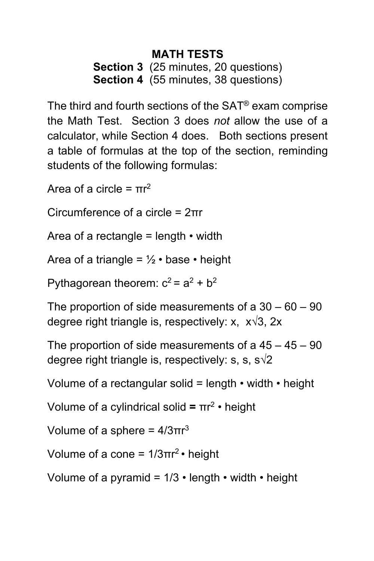## **MATH TESTS Section 3** (25 minutes, 20 questions) **Section 4** (55 minutes, 38 questions)

The third and fourth sections of the SAT® exam comprise the Math Test. Section 3 does *not* allow the use of a calculator, while Section 4 does. Both sections present a table of formulas at the top of the section, reminding students of the following formulas:

Area of a circle =  $πr^2$ 

Circumference of a circle = 2πr

Area of a rectangle = length  $\cdot$  width

Area of a triangle =  $\frac{1}{2} \cdot \text{base} \cdot \text{height}$ 

Pythagorean theorem:  $c^2 = a^2 + b^2$ 

The proportion of side measurements of a  $30 - 60 - 90$ degree right triangle is, respectively: x, x√3, 2x

The proportion of side measurements of a  $45 - 45 - 90$ degree right triangle is, respectively: s, s,  $s\sqrt{2}$ 

Volume of a rectangular solid = length  $\cdot$  width  $\cdot$  height

Volume of a cylindrical solid **=** πr2 • height

Volume of a sphere =  $4/3πr<sup>3</sup>$ 

Volume of a cone =  $1/3\pi r^2$  • height

Volume of a pyramid =  $1/3 \cdot$  length  $\cdot$  width  $\cdot$  height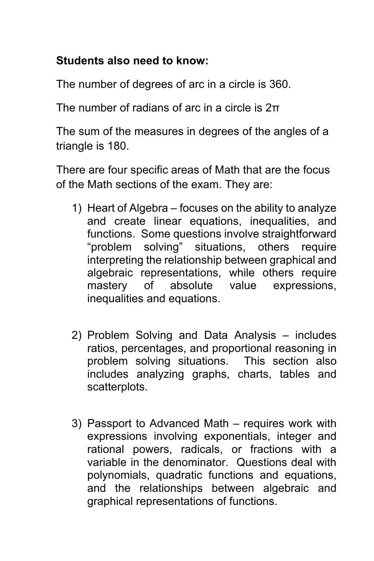#### **Students also need to know:**

The number of degrees of arc in a circle is 360.

The number of radians of arc in a circle is 2π

The sum of the measures in degrees of the angles of a triangle is 180.

There are four specific areas of Math that are the focus of the Math sections of the exam. They are:

- 1) Heart of Algebra focuses on the ability to analyze and create linear equations, inequalities, and functions. Some questions involve straightforward "problem solving" situations, others require interpreting the relationship between graphical and algebraic representations, while others require mastery of absolute value expressions, inequalities and equations.
- 2) Problem Solving and Data Analysis includes ratios, percentages, and proportional reasoning in problem solving situations. This section also includes analyzing graphs, charts, tables and scatterplots.
- 3) Passport to Advanced Math requires work with expressions involving exponentials, integer and rational powers, radicals, or fractions with a variable in the denominator. Questions deal with polynomials, quadratic functions and equations, and the relationships between algebraic and graphical representations of functions.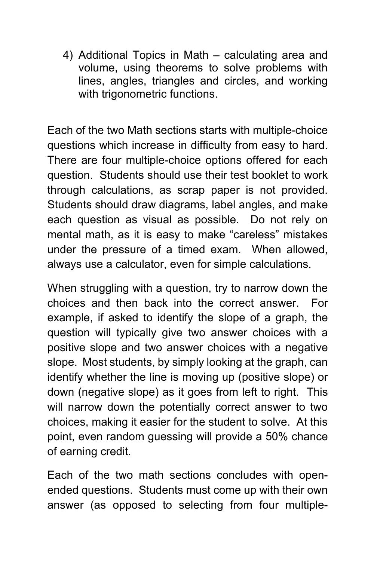4) Additional Topics in Math – calculating area and volume, using theorems to solve problems with lines, angles, triangles and circles, and working with trigonometric functions.

Each of the two Math sections starts with multiple-choice questions which increase in difficulty from easy to hard. There are four multiple-choice options offered for each question. Students should use their test booklet to work through calculations, as scrap paper is not provided. Students should draw diagrams, label angles, and make each question as visual as possible. Do not rely on mental math, as it is easy to make "careless" mistakes under the pressure of a timed exam. When allowed, always use a calculator, even for simple calculations.

When struggling with a question, try to narrow down the choices and then back into the correct answer. For example, if asked to identify the slope of a graph, the question will typically give two answer choices with a positive slope and two answer choices with a negative slope. Most students, by simply looking at the graph, can identify whether the line is moving up (positive slope) or down (negative slope) as it goes from left to right. This will narrow down the potentially correct answer to two choices, making it easier for the student to solve. At this point, even random guessing will provide a 50% chance of earning credit.

Each of the two math sections concludes with openended questions. Students must come up with their own answer (as opposed to selecting from four multiple-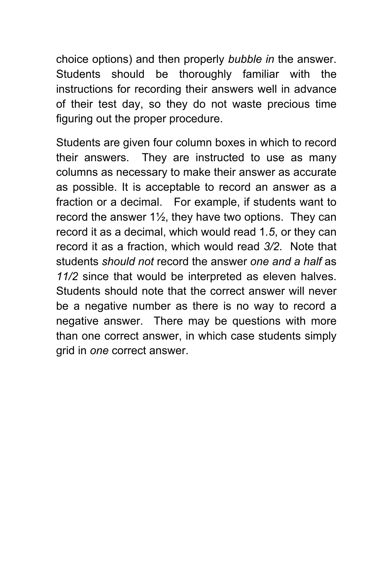choice options) and then properly *bubble in* the answer. Students should be thoroughly familiar with the instructions for recording their answers well in advance of their test day, so they do not waste precious time figuring out the proper procedure.

Students are given four column boxes in which to record their answers. They are instructed to use as many columns as necessary to make their answer as accurate as possible. It is acceptable to record an answer as a fraction or a decimal. For example, if students want to record the answer  $1\frac{1}{2}$ , they have two options. They can record it as a decimal, which would read 1*.5*, or they can record it as a fraction, which would read *3/2*. Note that students *should not* record the answer *one and a half* as *11/2* since that would be interpreted as eleven halves. Students should note that the correct answer will never be a negative number as there is no way to record a negative answer. There may be questions with more than one correct answer, in which case students simply grid in *one* correct answer.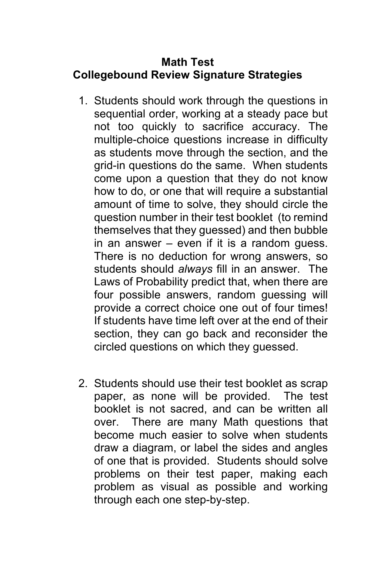#### **Math Test Collegebound Review Signature Strategies**

- 1. Students should work through the questions in sequential order, working at a steady pace but not too quickly to sacrifice accuracy. The multiple-choice questions increase in difficulty as students move through the section, and the grid-in questions do the same. When students come upon a question that they do not know how to do, or one that will require a substantial amount of time to solve, they should circle the question number in their test booklet (to remind themselves that they guessed) and then bubble in an answer – even if it is a random guess. There is no deduction for wrong answers, so students should *always* fill in an answer. The Laws of Probability predict that, when there are four possible answers, random guessing will provide a correct choice one out of four times! If students have time left over at the end of their section, they can go back and reconsider the circled questions on which they guessed.
- 2. Students should use their test booklet as scrap paper, as none will be provided. The test booklet is not sacred, and can be written all over. There are many Math questions that become much easier to solve when students draw a diagram, or label the sides and angles of one that is provided. Students should solve problems on their test paper, making each problem as visual as possible and working through each one step-by-step.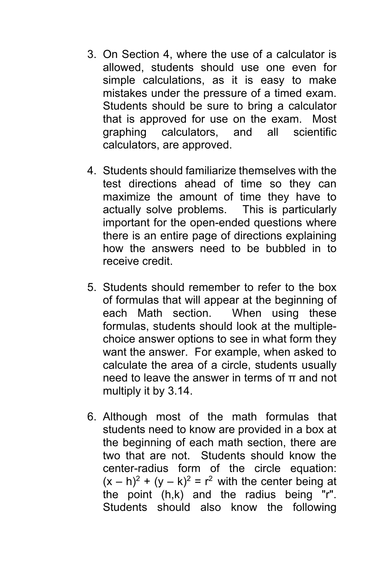- 3. On Section 4, where the use of a calculator is allowed, students should use one even for simple calculations, as it is easy to make mistakes under the pressure of a timed exam. Students should be sure to bring a calculator that is approved for use on the exam. Most graphing calculators, and all scientific calculators, are approved.
- 4. Students should familiarize themselves with the test directions ahead of time so they can maximize the amount of time they have to actually solve problems. This is particularly important for the open-ended questions where there is an entire page of directions explaining how the answers need to be bubbled in to receive credit.
- 5. Students should remember to refer to the box of formulas that will appear at the beginning of each Math section. When using these formulas, students should look at the multiplechoice answer options to see in what form they want the answer. For example, when asked to calculate the area of a circle, students usually need to leave the answer in terms of π and not multiply it by 3.14.
- 6. Although most of the math formulas that students need to know are provided in a box at the beginning of each math section, there are two that are not. Students should know the center-radius form of the circle equation:  $(x - h)^2$  +  $(y - k)^2$  = r<sup>2</sup> with the center being at the point (h,k) and the radius being "r". Students should also know the following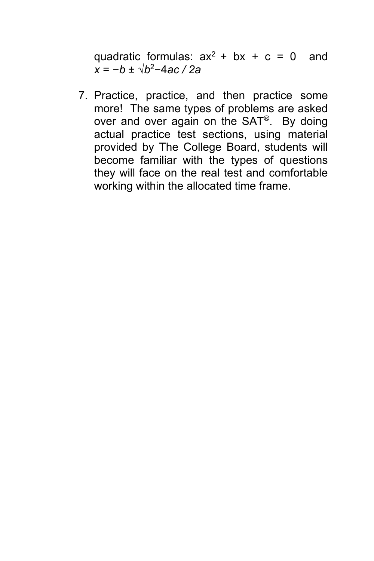quadratic formulas:  $ax^2 + bx + c = 0$  and *x* = −*b* ± √*b*2−4*ac / 2a*

7. Practice, practice, and then practice some more! The same types of problems are asked over and over again on the SAT®. By doing actual practice test sections, using material provided by The College Board, students will become familiar with the types of questions they will face on the real test and comfortable working within the allocated time frame.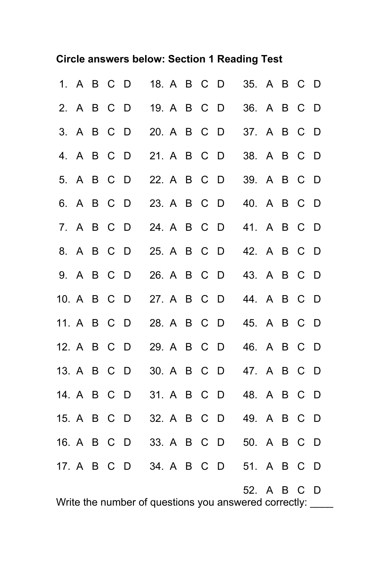#### **Circle answers below: Section 1 Reading Test**

|             | 1. A B C |            | - D                                              | 18. A B C   |  | D   | 35. A B C   |  | - D              |
|-------------|----------|------------|--------------------------------------------------|-------------|--|-----|-------------|--|------------------|
|             |          | 2. A B C D |                                                  | 19. A B C   |  | - D | 36. A B C   |  | - D              |
|             |          | 3. A B C D |                                                  | 20. A B C   |  | - D | 37. A B C   |  | - D              |
|             | 4. A B C |            | - D                                              | 21. A B C   |  | - D | 38. A B C   |  | - D              |
|             | 5. A B C |            | - D                                              | 22. A B C   |  | - D | 39. A B C D |  |                  |
|             |          | 6. A B C D |                                                  | 23. A B C   |  | - D | 40. A B C D |  |                  |
|             |          | 7. A B C D |                                                  | 24. A B C   |  | - D | 41. A B C   |  | - D              |
|             |          | 8. A B C D |                                                  | 25. A B C   |  | - D | 42. A B C   |  | - D              |
|             | 9. A B C |            | - D                                              | 26. A B C   |  | - D | 43. A B C   |  | - D              |
| 10. A B C   |          |            | $\Box$                                           | 27. A B C   |  | - D | 44. A B C D |  |                  |
| 11. A B C D |          |            |                                                  | 28. A B C D |  |     | 45. A B C   |  | – D              |
| 12. A B C   |          |            | - D                                              | 29. A B C   |  | - D | 46. A B C   |  | - D              |
| 13. A B C   |          |            | - D                                              | 30. A B C   |  | - D | 47. A B C   |  | - D              |
| 14. A B C   |          |            | - D                                              | 31. A B C   |  | D   | 48. A B C   |  | - D              |
| 15. A B C   |          |            | <sup>D</sup>                                     | 32. A B C   |  | - D | 49. A B C   |  | - D              |
| 16. A B C   |          |            | <sup>D</sup>                                     | 33. A B C   |  | - D | 50. A B C   |  | - D              |
| 17. A B C   |          |            | - D                                              | 34. A B C   |  | D   | 51. A B C   |  | - D              |
|             |          |            | $M_{\text{white}}$ the number of questions $(2)$ |             |  |     | 52. A B C   |  | <br><sup>D</sup> |

Write the number of questions you answered correctly: \_\_\_\_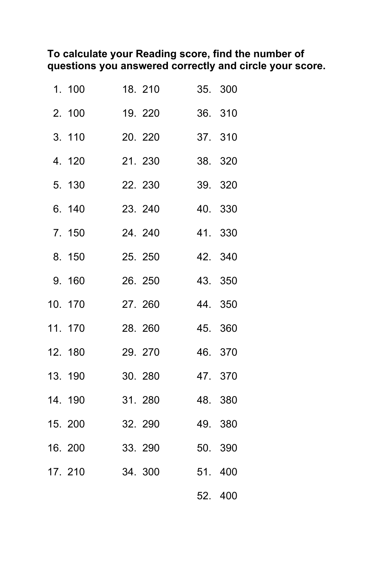#### **To calculate your Reading score, find the number of questions you answered correctly and circle your score.**

| 1. 100  | 18. 210 |     | 35. 300 |
|---------|---------|-----|---------|
| 2. 100  | 19. 220 |     | 36. 310 |
| 3. 110  | 20. 220 |     | 37. 310 |
| 4. 120  | 21.230  |     | 38. 320 |
| 5. 130  | 22. 230 |     | 39. 320 |
| 6. 140  | 23. 240 |     | 40. 330 |
| 7. 150  | 24. 240 |     | 41. 330 |
| 8. 150  | 25. 250 |     | 42. 340 |
| 9. 160  | 26. 250 |     | 43. 350 |
| 10. 170 | 27.260  |     | 44. 350 |
| 11. 170 | 28. 260 |     | 45. 360 |
| 12. 180 | 29. 270 |     | 46. 370 |
| 13. 190 | 30.280  |     | 47. 370 |
| 14. 190 | 31.280  |     | 48. 380 |
| 15. 200 | 32. 290 |     | 49. 380 |
| 16. 200 | 33. 290 |     | 50. 390 |
| 17. 210 | 34. 300 |     | 51. 400 |
|         |         | 52. | 400     |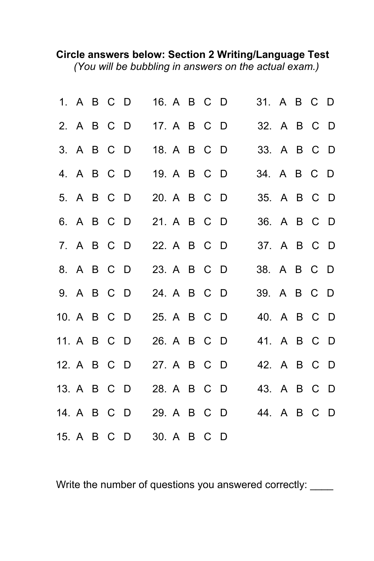#### **Circle answers below: Section 2 Writing/Language Test** *(You will be bubbling in answers on the actual exam.)*

|             |  | 1. A B C D | 16. A B C D |  |  | 31. A B C D |  |  |
|-------------|--|------------|-------------|--|--|-------------|--|--|
|             |  | 2. A B C D | 17. A B C D |  |  | 32. A B C D |  |  |
|             |  | 3. A B C D | 18. A B C D |  |  | 33. A B C D |  |  |
|             |  | 4. A B C D | 19. A B C D |  |  | 34. A B C D |  |  |
|             |  | 5. A B C D | 20. A B C D |  |  | 35. A B C D |  |  |
|             |  | 6. A B C D | 21. A B C D |  |  | 36. A B C D |  |  |
|             |  | 7. A B C D | 22. A B C D |  |  | 37. A B C D |  |  |
|             |  | 8. A B C D | 23. A B C D |  |  | 38. A B C D |  |  |
|             |  | 9. A B C D | 24. A B C D |  |  | 39. A B C D |  |  |
| 10. A B C D |  |            | 25. A B C D |  |  | 40. A B C D |  |  |
| 11. A B C D |  |            | 26. A B C D |  |  | 41. A B C D |  |  |
| 12. A B C D |  |            | 27. A B C D |  |  | 42. A B C D |  |  |
| 13. A B C D |  |            | 28. A B C D |  |  | 43. A B C D |  |  |
| 14. A B C D |  |            | 29. A B C D |  |  | 44. A B C D |  |  |
| 15. A B C D |  |            | 30. A B C D |  |  |             |  |  |

Write the number of questions you answered correctly: \_\_\_\_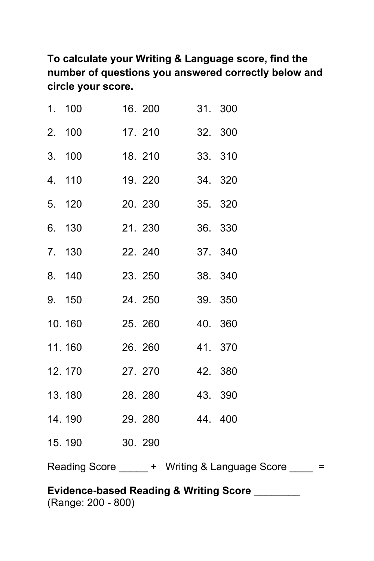**To calculate your Writing & Language score, find the number of questions you answered correctly below and circle your score.**

| 1. 100                 | 16. 200 31. 300 |  |
|------------------------|-----------------|--|
| 2. 100                 | 17. 210 32. 300 |  |
| 3. 100                 | 18. 210 33. 310 |  |
| 4. 110                 | 19. 220 34. 320 |  |
| 5. 120 20. 230 35. 320 |                 |  |
| 6. 130                 | 21. 230 36. 330 |  |
| 7. 130                 | 22. 240 37. 340 |  |
| 8. 140                 | 23. 250 38. 340 |  |
| 9. 150 24. 250 39. 350 |                 |  |
| 10.160                 | 25. 260 40. 360 |  |
| 11.160 26.260 41.370   |                 |  |
| 12.170                 | 27. 270 42. 380 |  |
| 13.180 28.280 43.390   |                 |  |
| 14.190                 | 29. 280 44. 400 |  |
| 15.190                 | 30. 290         |  |
|                        |                 |  |

Reading Score \_\_\_\_\_ + Writing & Language Score \_\_\_\_ =

#### **Evidence-based Reading & Writing Score** \_\_\_\_\_\_\_\_ (Range: 200 - 800)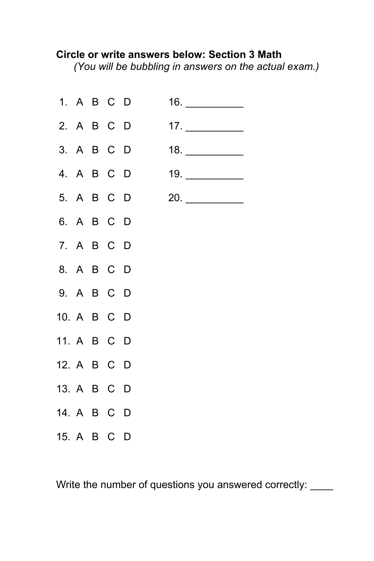#### **Circle or write answers below: Section 3 Math**

*(You will be bubbling in answers on the actual exam.)*



Write the number of questions you answered correctly: \_\_\_\_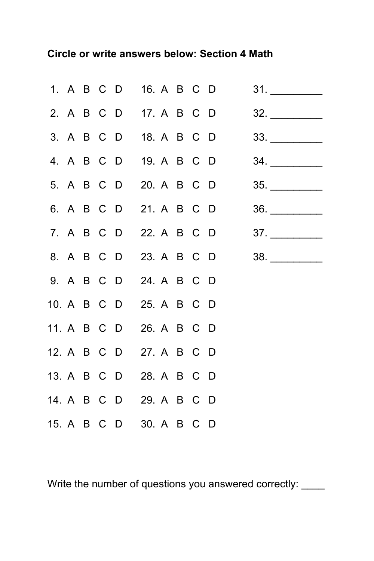#### **Circle or write answers below: Section 4 Math**

|  |  |                         |  |  | 1. A B C D 16. A B C D | 31.                            |
|--|--|-------------------------|--|--|------------------------|--------------------------------|
|  |  |                         |  |  |                        | 2. A B C D 17. A B C D 32.     |
|  |  | 3. A B C D 18. A B C D  |  |  |                        | $33. \underline{\hspace{2cm}}$ |
|  |  |                         |  |  | 4. A B C D 19. A B C D | $34.$                          |
|  |  |                         |  |  | 5. A B C D 20. A B C D |                                |
|  |  |                         |  |  |                        | 6. A B C D 21. A B C D 36.     |
|  |  |                         |  |  |                        | 7. A B C D 22. A B C D 37.     |
|  |  |                         |  |  |                        | 8. A B C D 23. A B C D 38.     |
|  |  | 9. A B C D 24. A B C D  |  |  |                        |                                |
|  |  | 10. A B C D 25. A B C D |  |  |                        |                                |
|  |  | 11. A B C D 26. A B C D |  |  |                        |                                |
|  |  | 12. A B C D 27. A B C D |  |  |                        |                                |
|  |  | 13. A B C D 28. A B C D |  |  |                        |                                |
|  |  | 14. A B C D 29. A B C D |  |  |                        |                                |
|  |  | 15. A B C D 30. A B C D |  |  |                        |                                |

Write the number of questions you answered correctly: \_\_\_\_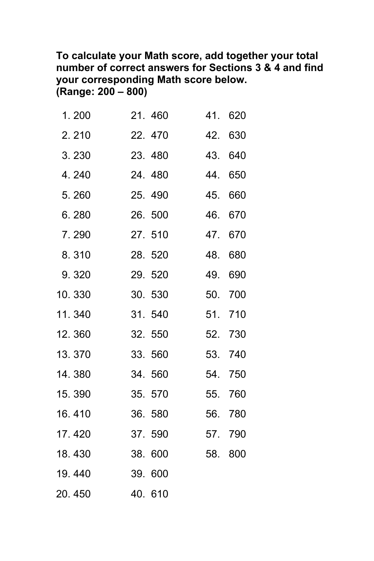#### **To calculate your Math score, add together your total number of correct answers for Sections 3 & 4 and find your corresponding Math score below. (Range: 200 – 800)**

| 1.200  | 21.460  | 41. | 620     |
|--------|---------|-----|---------|
| 2.210  | 22.470  | 42. | 630     |
| 3.230  | 23.480  | 43. | 640     |
| 4.240  | 24.480  | 44. | 650     |
| 5.260  | 25.490  | 45. | 660     |
| 6.280  | 26. 500 | 46. | 670     |
| 7.290  | 27. 510 | 47. | 670     |
| 8.310  | 28. 520 | 48. | 680     |
| 9.320  | 29. 520 | 49. | 690     |
| 10.330 | 30.530  |     | 50. 700 |
| 11.340 | 31.540  |     | 51. 710 |
| 12.360 | 32.550  |     | 52. 730 |
| 13.370 | 33.560  |     | 53. 740 |
| 14.380 | 34.560  |     | 54. 750 |
| 15.390 | 35. 570 |     | 55. 760 |
| 16.410 | 36. 580 |     | 56. 780 |
| 17.420 | 37.590  |     | 57. 790 |
| 18.430 | 38. 600 | 58. | 800     |
| 19.440 | 39. 600 |     |         |
| 20.450 | 40. 610 |     |         |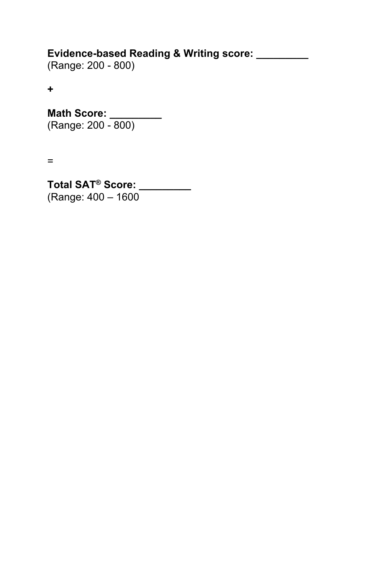#### **Evidence-based Reading & Writing score: \_\_\_\_\_\_\_\_\_**

(Range: 200 - 800)

**+**

**Math Score: \_\_\_\_\_\_\_\_\_** (Range: 200 - 800)

=

**Total SAT® Score: \_\_\_\_\_\_\_\_\_** (Range: 400 – 1600